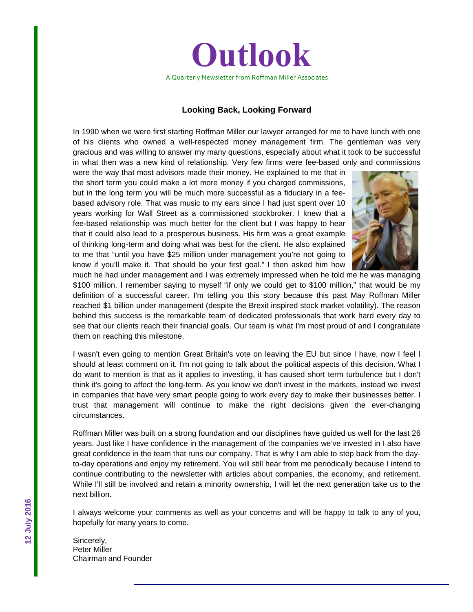

#### **Looking Back, Looking Forward**

In 1990 when we were first starting Roffman Miller our lawyer arranged for me to have lunch with one of his clients who owned a well-respected money management firm. The gentleman was very gracious and was willing to answer my many questions, especially about what it took to be successful in what then was a new kind of relationship. Very few firms were fee-based only and commissions

were the way that most advisors made their money. He explained to me that in the short term you could make a lot more money if you charged commissions, but in the long term you will be much more successful as a fiduciary in a feebased advisory role. That was music to my ears since I had just spent over 10 years working for Wall Street as a commissioned stockbroker. I knew that a fee-based relationship was much better for the client but I was happy to hear that it could also lead to a prosperous business. His firm was a great example of thinking long-term and doing what was best for the client. He also explained to me that "until you have \$25 million under management you're not going to know if you'll make it. That should be your first goal." I then asked him how



much he had under management and I was extremely impressed when he told me he was managing \$100 million. I remember saying to myself "if only we could get to \$100 million," that would be my definition of a successful career. I'm telling you this story because this past May Roffman Miller reached \$1 billion under management (despite the Brexit inspired stock market volatility). The reason behind this success is the remarkable team of dedicated professionals that work hard every day to see that our clients reach their financial goals. Our team is what I'm most proud of and I congratulate them on reaching this milestone.

I wasn't even going to mention Great Britain's vote on leaving the EU but since I have, now I feel I should at least comment on it. I'm not going to talk about the political aspects of this decision. What I do want to mention is that as it applies to investing, it has caused short term turbulence but I don't think it's going to affect the long-term. As you know we don't invest in the markets, instead we invest in companies that have very smart people going to work every day to make their businesses better. I trust that management will continue to make the right decisions given the ever-changing circumstances.

Roffman Miller was built on a strong foundation and our disciplines have guided us well for the last 26 years. Just like I have confidence in the management of the companies we've invested in I also have great confidence in the team that runs our company. That is why I am able to step back from the dayto-day operations and enjoy my retirement. You will still hear from me periodically because I intend to continue contributing to the newsletter with articles about companies, the economy, and retirement. While I'll still be involved and retain a minority ownership, I will let the next generation take us to the next billion.

I always welcome your comments as well as your concerns and will be happy to talk to any of you, hopefully for many years to come.

Sincerely, Peter Miller Chairman and Founder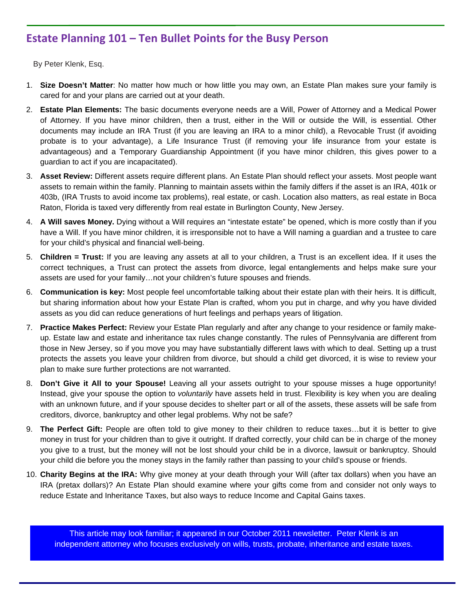# **Estate Planning 101 – Ten Bullet Points for the Busy Person**

By Peter Klenk, Esq.

, the mobile approximation approximation  $\mathcal{L}$ 

way to deposit checks and the checks of the checks of the checks of the checks of the checks of the checks of <br>The checks of the checks of the checks of the checks of the checks of the checks of the checks of the checks o

- 1. **Size Doesn't Matter**: No matter how much or how little you may own, an Estate Plan makes sure your family is cared for and your plans are carried out at your death.
- 2. **Estate Plan Elements:** The basic documents everyone needs are a Will, Power of Attorney and a Medical Power of Attorney. If you have minor children, then a trust, either in the Will or outside the Will, is essential. Other documents may include an IRA Trust (if you are leaving an IRA to a minor child), a Revocable Trust (if avoiding probate is to your advantage), a Life Insurance Trust (if removing your life insurance from your estate is advantageous) and a Temporary Guardianship Appointment (if you have minor children, this gives power to a guardian to act if you are incapacitated).
- 3. **Asset Review:** Different assets require different plans. An Estate Plan should reflect your assets. Most people want assets to remain within the family. Planning to maintain assets within the family differs if the asset is an IRA, 401k or 403b, (IRA Trusts to avoid income tax problems), real estate, or cash. Location also matters, as real estate in Boca Raton, Florida is taxed very differently from real estate in Burlington County, New Jersey.
- 4. **A Will saves Money.** Dying without a Will requires an "intestate estate" be opened, which is more costly than if you have a Will. If you have minor children, it is irresponsible not to have a Will naming a guardian and a trustee to care for your child's physical and financial well-being.
- 5. **Children = Trust:** If you are leaving any assets at all to your children, a Trust is an excellent idea. If it uses the correct techniques, a Trust can protect the assets from divorce, legal entanglements and helps make sure your assets are used for your family…not your children's future spouses and friends.
- 6. **Communication is key:** Most people feel uncomfortable talking about their estate plan with their heirs. It is difficult, but sharing information about how your Estate Plan is crafted, whom you put in charge, and why you have divided assets as you did can reduce generations of hurt feelings and perhaps years of litigation.
- 7. **Practice Makes Perfect:** Review your Estate Plan regularly and after any change to your residence or family makeup. Estate law and estate and inheritance tax rules change constantly. The rules of Pennsylvania are different from those in New Jersey, so if you move you may have substantially different laws with which to deal. Setting up a trust protects the assets you leave your children from divorce, but should a child get divorced, it is wise to review your plan to make sure further protections are not warranted.
- 8. **Don't Give it All to your Spouse!** Leaving all your assets outright to your spouse misses a huge opportunity! Instead, give your spouse the option to *voluntarily* have assets held in trust. Flexibility is key when you are dealing with an unknown future, and if your spouse decides to shelter part or all of the assets, these assets will be safe from creditors, divorce, bankruptcy and other legal problems. Why not be safe?
- 9. **The Perfect Gift:** People are often told to give money to their children to reduce taxes…but it is better to give money in trust for your children than to give it outright. If drafted correctly, your child can be in charge of the money you give to a trust, but the money will not be lost should your child be in a divorce, lawsuit or bankruptcy. Should your child die before you the money stays in the family rather than passing to your child's spouse or friends.
- 10. **Charity Begins at the IRA:** Why give money at your death through your Will (after tax dollars) when you have an IRA (pretax dollars)? An Estate Plan should examine where your gifts come from and consider not only ways to reduce Estate and Inheritance Taxes, but also ways to reduce Income and Capital Gains taxes.

This article may look familiar; it appeared in our October 2011 newsletter. Peter Klenk is an independent attorney who focuses exclusively on wills, trusts, probate, inheritance and estate taxes.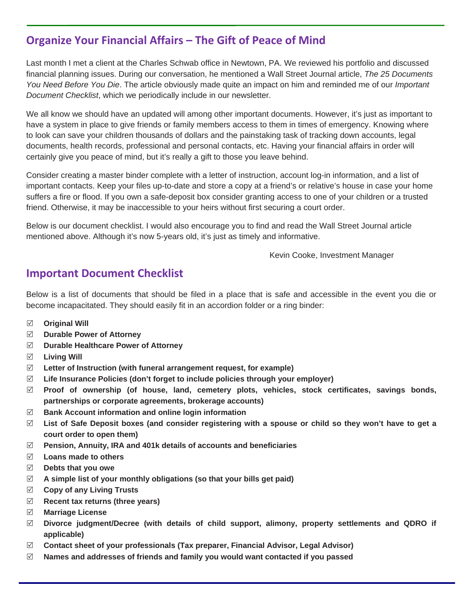# **Organize Your Financial Affairs – The Gift of Peace of Mind**

Last month I met a client at the Charles Schwab office in Newtown, PA. We reviewed his portfolio and discussed financial planning issues. During our conversation, he mentioned a Wall Street Journal article, *The 25 Documents You Need Before You Die*. The article obviously made quite an impact on him and reminded me of our *Important Document Checklist*, which we periodically include in our newsletter.

We all know we should have an updated will among other important documents. However, it's just as important to have a system in place to give friends or family members access to them in times of emergency. Knowing where to look can save your children thousands of dollars and the painstaking task of tracking down accounts, legal documents, health records, professional and personal contacts, etc. Having your financial affairs in order will certainly give you peace of mind, but it's really a gift to those you leave behind.

Consider creating a master binder complete with a letter of instruction, account log-in information, and a list of important contacts. Keep your files up-to-date and store a copy at a friend's or relative's house in case your home suffers a fire or flood. If you own a safe-deposit box consider granting access to one of your children or a trusted friend. Otherwise, it may be inaccessible to your heirs without first securing a court order.

Below is our document checklist. I would also encourage you to find and read the Wall Street Journal article mentioned above. Although it's now 5-years old, it's just as timely and informative.

Kevin Cooke, Investment Manager

# **Important Document Checklist**

Below is a list of documents that should be filed in a place that is safe and accessible in the event you die or become incapacitated. They should easily fit in an accordion folder or a ring binder:

- **Original Will**
- **Durable Power of Attorney**
- **Durable Healthcare Power of Attorney**
- **Living Will**
- **Letter of Instruction (with funeral arrangement request, for example)**
- **Life Insurance Policies (don't forget to include policies through your employer)**
- **Proof of ownership (of house, land, cemetery plots, vehicles, stock certificates, savings bonds, partnerships or corporate agreements, brokerage accounts)**
- **Bank Account information and online login information**
- **List of Safe Deposit boxes (and consider registering with a spouse or child so they won't have to get a court order to open them)**
- **Pension, Annuity, IRA and 401k details of accounts and beneficiaries**
- **Loans made to others**
- **Debts that you owe**
- **A simple list of your monthly obligations (so that your bills get paid)**
- **Copy of any Living Trusts**
- **Recent tax returns (three years)**
- **Marriage License**
- **Divorce judgment/Decree (with details of child support, alimony, property settlements and QDRO if applicable)**
- **Contact sheet of your professionals (Tax preparer, Financial Advisor, Legal Advisor)**
- **Names and addresses of friends and family you would want contacted if you passed**